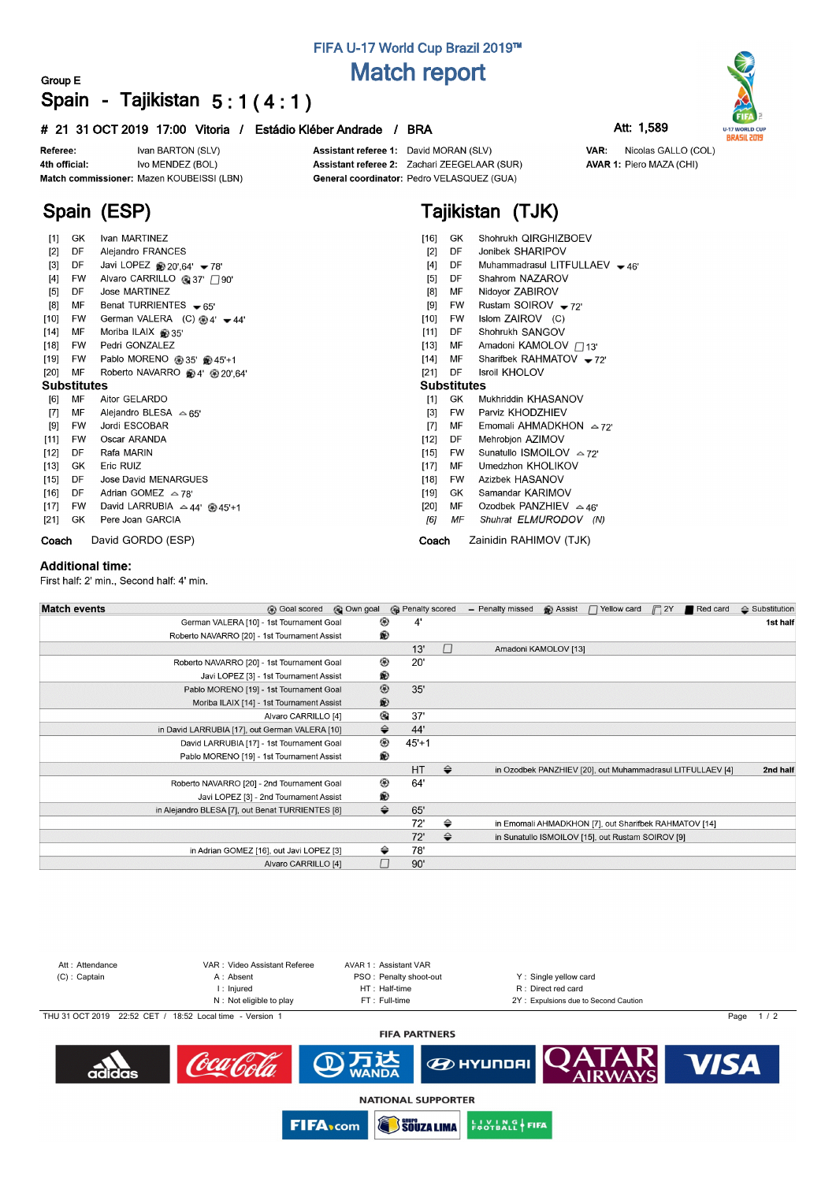## **FIFA U-17 World Cup Brazil 2019™ Match report**

### **Group E Spain - Tajikistan 5 : 1 ( 4 : 1 )**

### **# 21 31 OCT 2019 17:00 Vitoria / Estádio Kléber Andrade / BRA Att: 1,589**



**Spain (ESP)**

Assistant referee 1: David MORAN (SLV) Assistant referee 2: Zachari ZEEGELAAR (SUR) General coordinator: Pedro VELASQUEZ (GUA)

# **Tajikistan (TJK)**

| [1]                | GK        | Ivan MARTINEZ                                  | $[16]$<br>Shohrukh QIRGHIZBOEV<br>GK.              |  |  |  |  |  |  |  |
|--------------------|-----------|------------------------------------------------|----------------------------------------------------|--|--|--|--|--|--|--|
| $[2]$              | DF        | Alejandro FRANCES                              | Jonibek SHARIPOV<br>$[2]$<br>DF                    |  |  |  |  |  |  |  |
| $[3]$              | DF        | Javi LOPEZ $\circledast$ 20'.64' $\bullet$ 78' | Muhammadrasul LITFULLAEV - 46'<br>[4]<br>DF        |  |  |  |  |  |  |  |
| $[4]$              | FW        | Alvaro CARRILLO @ 37' □ 90'                    | Shahrom NAZAROV<br>[5]<br>DF                       |  |  |  |  |  |  |  |
| $[5]$              | DF        | Jose MARTINEZ                                  | Nidoyor ZABIROV<br>$[8]$<br>MF                     |  |  |  |  |  |  |  |
| [8]                | MF        | Benat TURRIENTES $\bullet$ 65'                 | Rustam SOIROV $-72$<br>[9]<br><b>FW</b>            |  |  |  |  |  |  |  |
| $[10]$             | FW        | German VALERA (C) $@4' -44'$                   | Islom ZAIROV (C)<br>[10]<br>FW.                    |  |  |  |  |  |  |  |
| $[14]$             | MF        | Moriba ILAIX @ 35'                             | $[11]$<br>Shohrukh SANGOV<br>DF                    |  |  |  |  |  |  |  |
| $[18]$             | FW        | Pedri GONZALEZ                                 | Amadoni KAMOLOV / 13'<br>$[13]$<br>MF              |  |  |  |  |  |  |  |
| $[19]$             | FW        | Pablo MORENO @ 35' @ 45'+1                     | Sharifbek RAHMATOV $-72$<br>$[14]$<br>MF           |  |  |  |  |  |  |  |
| [20]               | MF        | Roberto NAVARRO @4' @ 20',64'                  | <b>Isroil KHOLOV</b><br>$[21]$<br>DF               |  |  |  |  |  |  |  |
| <b>Substitutes</b> |           |                                                | <b>Substitutes</b>                                 |  |  |  |  |  |  |  |
| [6]                | MF        | Aitor GELARDO                                  | Mukhriddin KHASANOV<br>$[1]$<br>GK.                |  |  |  |  |  |  |  |
| $[7]$              | МF        | Alejandro BLESA $\approx$ 65'                  | Parviz KHODZHIEV<br>$\lceil 3 \rceil$<br><b>FW</b> |  |  |  |  |  |  |  |
| [9]                | <b>FW</b> | Jordi ESCOBAR                                  | Emomali AHMADKHON $\approx$ 72'<br>[7]<br>MF       |  |  |  |  |  |  |  |
| [11]               | <b>FW</b> | Oscar ARANDA                                   | $[12]$<br>Mehrobjon AZIMOV<br>DF                   |  |  |  |  |  |  |  |
| $[12]$             | DF        | Rafa MARIN                                     | Sunatullo ISMOILOV △72'<br>$[15]$<br>FW.           |  |  |  |  |  |  |  |
| $[13]$             | GK        | Eric RUIZ                                      | Umedzhon KHOLIKOV<br>$[17]$<br>MF                  |  |  |  |  |  |  |  |
| [15]               | DF        | Jose David MENARGUES                           | Azizbek HASANOV<br>$[18]$<br><b>FW</b>             |  |  |  |  |  |  |  |
| $[16]$             | DF        | Adrian GOMEZ $\approx$ 78'                     | Samandar KARIMOV<br>[19]<br>GK.                    |  |  |  |  |  |  |  |
| $[17]$             | <b>FW</b> | David LARRUBIA $\approx$ 44' @ 45'+1           | Ozodbek PANZHIEV $\approx$ 46'<br>$[20]$<br>MF     |  |  |  |  |  |  |  |
| [21]               | GK.       | Pere Joan GARCIA                               | Shuhrat ELMURODOV (N)<br>[6]<br>ΜF                 |  |  |  |  |  |  |  |
| Coach              |           | David GORDO (ESP)                              | Zainidin RAHIMOV (TJK)<br>Coach                    |  |  |  |  |  |  |  |

#### **Additional time:**

First half: 2' min., Second half: 4' min.

| © Own goal                                       |                                                                                          |                                                                                                 |                         |                  |                                                               | Red card | $\triangle$ Substitution                                                                                                                                                              |
|--------------------------------------------------|------------------------------------------------------------------------------------------|-------------------------------------------------------------------------------------------------|-------------------------|------------------|---------------------------------------------------------------|----------|---------------------------------------------------------------------------------------------------------------------------------------------------------------------------------------|
| German VALERA [10] - 1st Tournament Goal         |                                                                                          |                                                                                                 |                         |                  |                                                               |          | 1st half                                                                                                                                                                              |
| Roberto NAVARRO [20] - 1st Tournament Assist     |                                                                                          |                                                                                                 |                         |                  |                                                               |          |                                                                                                                                                                                       |
|                                                  | C                                                                                        |                                                                                                 |                         |                  |                                                               |          |                                                                                                                                                                                       |
| Roberto NAVARRO [20] - 1st Tournament Goal       |                                                                                          |                                                                                                 |                         |                  |                                                               |          |                                                                                                                                                                                       |
| Javi LOPEZ [3] - 1st Tournament Assist           |                                                                                          |                                                                                                 |                         |                  |                                                               |          |                                                                                                                                                                                       |
| Pablo MORENO [19] - 1st Tournament Goal          |                                                                                          |                                                                                                 |                         |                  |                                                               |          |                                                                                                                                                                                       |
| Moriba ILAIX [14] - 1st Tournament Assist        |                                                                                          |                                                                                                 |                         |                  |                                                               |          |                                                                                                                                                                                       |
| Alvaro CARRILLO [4]                              |                                                                                          |                                                                                                 |                         |                  |                                                               |          |                                                                                                                                                                                       |
| in David LARRUBIA [17], out German VALERA [10]   |                                                                                          |                                                                                                 |                         |                  |                                                               |          |                                                                                                                                                                                       |
| David LARRUBIA [17] - 1st Tournament Goal        |                                                                                          |                                                                                                 |                         |                  |                                                               |          |                                                                                                                                                                                       |
| Pablo MORENO [19] - 1st Tournament Assist        |                                                                                          |                                                                                                 |                         |                  |                                                               |          |                                                                                                                                                                                       |
|                                                  | $\Rightarrow$                                                                            |                                                                                                 |                         |                  |                                                               |          | 2nd half                                                                                                                                                                              |
| Roberto NAVARRO [20] - 2nd Tournament Goal       |                                                                                          |                                                                                                 |                         |                  |                                                               |          |                                                                                                                                                                                       |
| Javi LOPEZ [3] - 2nd Tournament Assist           |                                                                                          |                                                                                                 |                         |                  |                                                               |          |                                                                                                                                                                                       |
| in Alejandro BLESA [7], out Benat TURRIENTES [8] |                                                                                          |                                                                                                 |                         |                  |                                                               |          |                                                                                                                                                                                       |
|                                                  | ⇔                                                                                        |                                                                                                 |                         |                  |                                                               |          |                                                                                                                                                                                       |
|                                                  | ⇔                                                                                        |                                                                                                 |                         |                  |                                                               |          |                                                                                                                                                                                       |
| in Adrian GOMEZ [16], out Javi LOPEZ [3]         |                                                                                          |                                                                                                 |                         |                  |                                                               |          |                                                                                                                                                                                       |
| Alvaro CARRILLO [4]                              |                                                                                          |                                                                                                 |                         |                  |                                                               |          |                                                                                                                                                                                       |
|                                                  | ⊛<br>®<br>⊛<br>®<br>◉<br>®<br>€<br>⇔<br>◉<br>®<br>⊛<br>⊛<br>$\Rightarrow$<br>⇔<br>$\Box$ | 4'<br>13'<br>20'<br>35'<br>37'<br>44'<br>$45+1$<br>HT<br>64'<br>65'<br>72'<br>72'<br>78'<br>90' | <b>B</b> Penalty scored | - Penalty missed | <b>B</b> Assist<br>$\Box$ Yellow card<br>Amadoni KAMOLOV [13] |          | $\Box$ 2Y<br>in Ozodbek PANZHIEV [20], out Muhammadrasul LITFULLAEV [4]<br>in Emomali AHMADKHON [7], out Sharifbek RAHMATOV [14]<br>in Sunatullo ISMOILOV [15], out Rustam SOIROV [9] |



**SOUZA LIMA** 

**EUVING FIFA** 

**FIFA**<sub>scom</sub>



VAR: Nicolas GALLO (COL) AVAR 1: Piero MAZA (CHI)